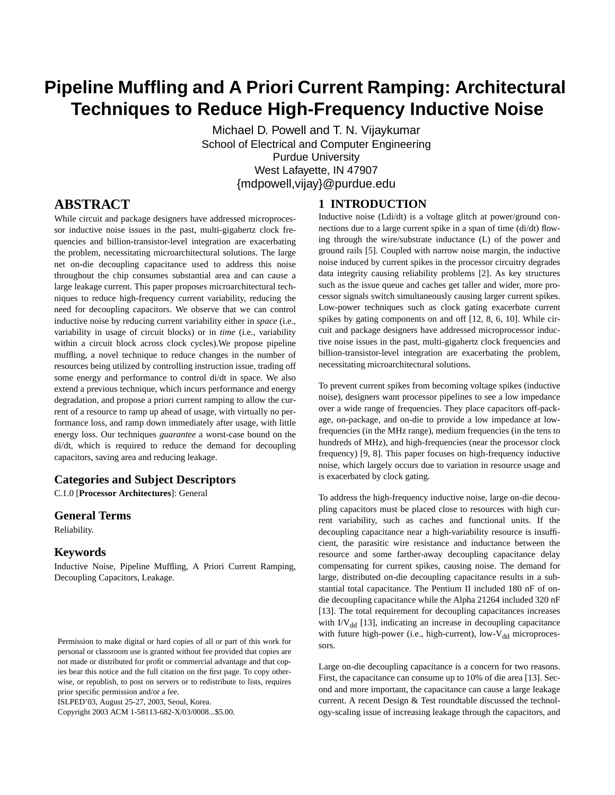# **Pipeline Muffling and A Priori Current Ramping: Architectural Techniques to Reduce High-Frequency Inductive Noise**

Michael D. Powell and T. N. Vijaykumar School of Electrical and Computer Engineering Purdue University West Lafayette, IN 47907 {mdpowell,vijay}@purdue.edu

<span id="page-0-0"></span>**1 INTRODUCTION**

# **ABSTRACT**

While circuit and package designers have addressed microprocessor inductive noise issues in the past, multi-gigahertz clock frequencies and billion-transistor-level integration are exacerbating the problem, necessitating microarchitectural solutions. The large net on-die decoupling capacitance used to address this noise throughout the chip consumes substantial area and can cause a large leakage current. This paper proposes microarchitectural techniques to reduce high-frequency current variability, reducing the need for decoupling capacitors. We observe that we can control inductive noise by reducing current variability either in *space* (i.e., variability in usage of circuit blocks) or in *time* (i.e., variability within a circuit block across clock cycles).We propose pipeline muffling, a novel technique to reduce changes in the number of resources being utilized by controlling instruction issue, trading off some energy and performance to control di/dt in space. We also extend a previous technique, which incurs performance and energy degradation, and propose a priori current ramping to allow the current of a resource to ramp up ahead of usage, with virtually no performance loss, and ramp down immediately after usage, with little energy loss. Our techniques *guarantee* a worst-case bound on the di/dt, which is required to reduce the demand for decoupling capacitors, saving area and reducing leakage.

# **Categories and Subject Descriptors**

C.1.0 [**Processor Architectures**]: General

#### **General Terms**

Reliability.

#### **Keywords**

Inductive Noise, Pipeline Muffling, A Priori Current Ramping, Decoupling Capacitors, Leakage.

ISLPED'03, August 25-27, 2003, Seoul, Korea.

Copyright 2003 ACM 1-58113-682-X/03/0008...\$5.00.

Inductive noise (Ldi/dt) is a voltage glitch at power/ground connections due to a large current spike in a span of time (di/dt) flowing through the wire/substrate inductance (L) of the power and ground rails [5]. Coupled with narrow noise margin, the inductive noise induced by current spikes in the processor circuitry degrades data integrity causing reliability problems [2]. As key structures such as the issue queue and caches get taller and wider, more processor signals switch simultaneously causing larger current spikes. Low-power techniques such as clock gating exacerbate current spikes by gating components on and off [12, 8, 6, 10]. While circuit and package designers have addressed microprocessor inductive noise issues in the past, multi-gigahertz clock frequencies and billion-transistor-level integration are exacerbating the problem, necessitating microarchitectural solutions.

To prevent current spikes from becoming voltage spikes (inductive noise), designers want processor pipelines to see a low impedance over a wide range of frequencies. They place capacitors off-package, on-package, and on-die to provide a low impedance at lowfrequencies (in the MHz range), medium frequencies (in the tens to hundreds of MHz), and high-frequencies (near the processor clock frequency) [9, 8]. This paper focuses on high-frequency inductive noise, which largely occurs due to variation in resource usage and is exacerbated by clock gating.

To address the high-frequency inductive noise, large on-die decoupling capacitors must be placed close to resources with high current variability, such as caches and functional units. If the decoupling capacitance near a high-variability resource is insufficient, the parasitic wire resistance and inductance between the resource and some farther-away decoupling capacitance delay compensating for current spikes, causing noise. The demand for large, distributed on-die decoupling capacitance results in a substantial total capacitance. The Pentium II included 180 nF of ondie decoupling capacitance while the Alpha 21264 included 320 nF [13]. The total requirement for decoupling capacitances increases with  $IV<sub>dd</sub>$  [13], indicating an increase in decoupling capacitance with future high-power (i.e., high-current), low- $V_{dd}$  microprocessors.

Large on-die decoupling capacitance is a concern for two reasons. First, the capacitance can consume up to 10% of die area [13]. Second and more important, the capacitance can cause a large leakage current. A recent Design & Test roundtable discussed the technology-scaling issue of increasing leakage through the capacitors, and

Permission to make digital or hard copies of all or part of this work for personal or classroom use is granted without fee provided that copies are not made or distributed for profit or commercial advantage and that copies bear this notice and the full citation on the first page. To copy otherwise, or republish, to post on servers or to redistribute to lists, requires prior specific permission and/or a fee.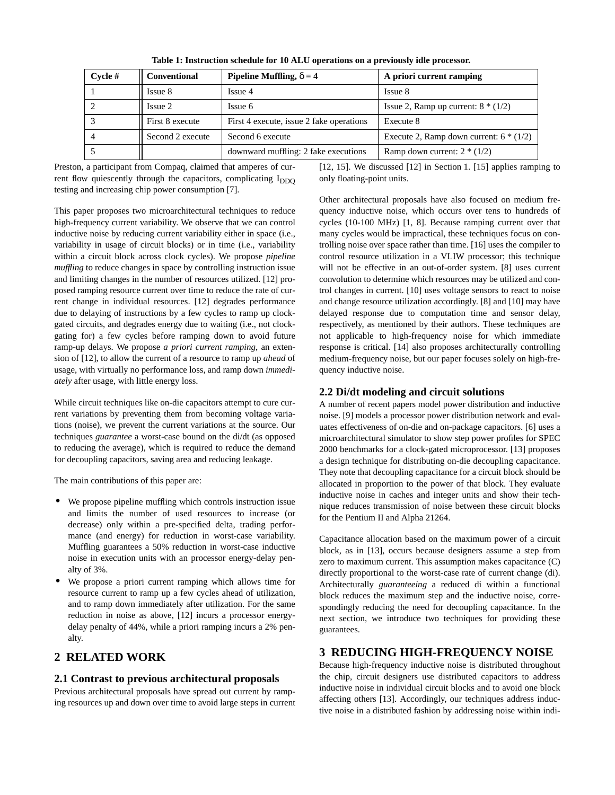**Table 1: Instruction schedule for 10 ALU operations on a previously idle processor.**

<span id="page-1-0"></span>

| $C$ vcle # | <b>Conventional</b> | Pipeline Muffling, $\delta = 4$          | A priori current ramping                |
|------------|---------------------|------------------------------------------|-----------------------------------------|
|            | Issue 8             | Issue 4                                  | Issue 8                                 |
|            | Issue 2             | Issue 6                                  | Issue 2, Ramp up current: $8*(1/2)$     |
|            | First 8 execute     | First 4 execute, issue 2 fake operations | Execute 8                               |
|            | Second 2 execute    | Second 6 execute                         | Execute 2, Ramp down current: $6*(1/2)$ |
|            |                     | downward muffling: 2 fake executions     | Ramp down current: $2 * (1/2)$          |

Preston, a participant from Compaq, claimed that amperes of current flow quiescently through the capacitors, complicating  $I_{DDO}$ testing and increasing chip power consumption [7].

This paper proposes two microarchitectural techniques to reduce high-frequency current variability. We observe that we can control inductive noise by reducing current variability either in space (i.e., variability in usage of circuit blocks) or in time (i.e., variability within a circuit block across clock cycles). We propose *pipeline muffling* to reduce changes in space by controlling instruction issue and limiting changes in the number of resources utilized. [12] proposed ramping resource current over time to reduce the rate of current change in individual resources. [12] degrades performance due to delaying of instructions by a few cycles to ramp up clockgated circuits, and degrades energy due to waiting (i.e., not clockgating for) a few cycles before ramping down to avoid future ramp-up delays. We propose *a priori current ramping*, an extension of [12], to allow the current of a resource to ramp up *ahead* of usage, with virtually no performance loss, and ramp down *immediately* after usage, with little energy loss.

While circuit techniques like on-die capacitors attempt to cure current variations by preventing them from becoming voltage variations (noise), we prevent the current variations at the source. Our techniques *guarantee* a worst-case bound on the di/dt (as opposed to reducing the average), which is required to reduce the demand for decoupling capacitors, saving area and reducing leakage.

The main contributions of this paper are:

- **•** We propose pipeline muffling which controls instruction issue and limits the number of used resources to increase (or decrease) only within a pre-specified delta, trading performance (and energy) for reduction in worst-case variability. Muffling guarantees a 50% reduction in worst-case inductive noise in execution units with an processor energy-delay penalty of 3%.
- **•** We propose a priori current ramping which allows time for resource current to ramp up a few cycles ahead of utilization, and to ramp down immediately after utilization. For the same reduction in noise as above, [12] incurs a processor energydelay penalty of 44%, while a priori ramping incurs a 2% penalty.

# **2 RELATED WORK**

# **2.1 Contrast to previous architectural proposals**

Previous architectural proposals have spread out current by ramping resources up and down over time to avoid large steps in current [12, 15]. We discussed [12] in [Section 1](#page-0-0). [15] applies ramping to only floating-point units.

Other architectural proposals have also focused on medium frequency inductive noise, which occurs over tens to hundreds of cycles (10-100 MHz) [1, 8]. Because ramping current over that many cycles would be impractical, these techniques focus on controlling noise over space rather than time. [16] uses the compiler to control resource utilization in a VLIW processor; this technique will not be effective in an out-of-order system. [8] uses current convolution to determine which resources may be utilized and control changes in current. [10] uses voltage sensors to react to noise and change resource utilization accordingly. [8] and [10] may have delayed response due to computation time and sensor delay, respectively, as mentioned by their authors. These techniques are not applicable to high-frequency noise for which immediate response is critical. [14] also proposes architecturally controlling medium-frequency noise, but our paper focuses solely on high-frequency inductive noise.

# <span id="page-1-1"></span>**2.2 Di/dt modeling and circuit solutions**

A number of recent papers model power distribution and inductive noise. [9] models a processor power distribution network and evaluates effectiveness of on-die and on-package capacitors. [6] uses a microarchitectural simulator to show step power profiles for SPEC 2000 benchmarks for a clock-gated microprocessor. [13] proposes a design technique for distributing on-die decoupling capacitance. They note that decoupling capacitance for a circuit block should be allocated in proportion to the power of that block. They evaluate inductive noise in caches and integer units and show their technique reduces transmission of noise between these circuit blocks for the Pentium II and Alpha 21264.

Capacitance allocation based on the maximum power of a circuit block, as in [13], occurs because designers assume a step from zero to maximum current. This assumption makes capacitance (C) directly proportional to the worst-case rate of current change (di). Architecturally *guaranteeing* a reduced di within a functional block reduces the maximum step and the inductive noise, correspondingly reducing the need for decoupling capacitance. In the next section, we introduce two techniques for providing these guarantees.

# **3 REDUCING HIGH-FREQUENCY NOISE**

Because high-frequency inductive noise is distributed throughout the chip, circuit designers use distributed capacitors to address inductive noise in individual circuit blocks and to avoid one block affecting others [13]. Accordingly, our techniques address inductive noise in a distributed fashion by addressing noise within indi-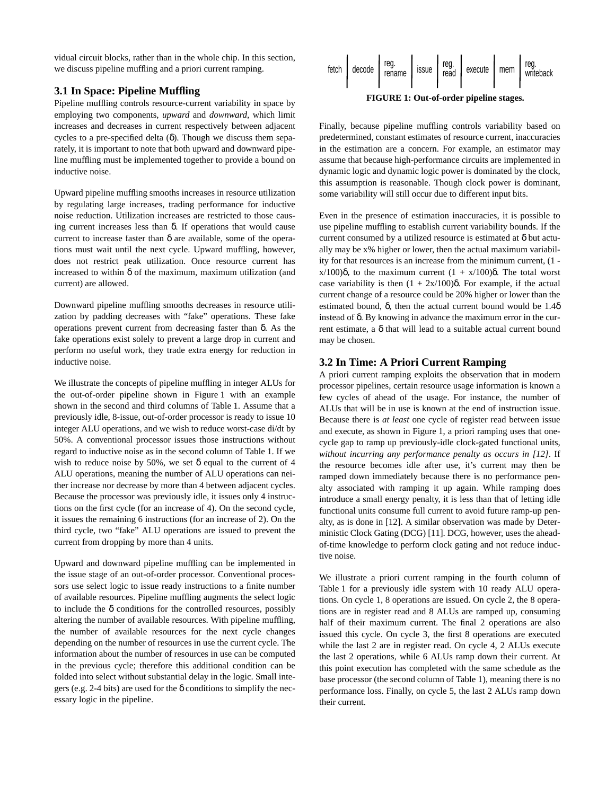vidual circuit blocks, rather than in the whole chip. In this section, we discuss pipeline muffling and a priori current ramping.

#### <span id="page-2-1"></span>**3.1 In Space: Pipeline Muffling**

Pipeline muffling controls resource-current variability in space by employing two components, *upward* and *downward*, which limit increases and decreases in current respectively between adjacent cycles to a pre-specified delta  $(\delta)$ . Though we discuss them separately, it is important to note that both upward and downward pipeline muffling must be implemented together to provide a bound on inductive noise.

Upward pipeline muffling smooths increases in resource utilization by regulating large increases, trading performance for inductive noise reduction. Utilization increases are restricted to those causing current increases less than δ. If operations that would cause current to increase faster than  $\delta$  are available, some of the operations must wait until the next cycle. Upward muffling, however, does not restrict peak utilization. Once resource current has increased to within  $\delta$  of the maximum, maximum utilization (and current) are allowed.

Downward pipeline muffling smooths decreases in resource utilization by padding decreases with "fake" operations. These fake operations prevent current from decreasing faster than δ. As the fake operations exist solely to prevent a large drop in current and perform no useful work, they trade extra energy for reduction in inductive noise.

We illustrate the concepts of pipeline muffling in integer ALUs for the out-of-order pipeline shown in [Figure 1](#page-2-0) with an example shown in the second and third columns of [Table 1](#page-1-0). Assume that a previously idle, 8-issue, out-of-order processor is ready to issue 10 integer ALU operations, and we wish to reduce worst-case di/dt by 50%. A conventional processor issues those instructions without regard to inductive noise as in the second column of [Table 1.](#page-1-0) If we wish to reduce noise by 50%, we set  $\delta$  equal to the current of 4 ALU operations, meaning the number of ALU operations can neither increase nor decrease by more than 4 between adjacent cycles. Because the processor was previously idle, it issues only 4 instructions on the first cycle (for an increase of 4). On the second cycle, it issues the remaining 6 instructions (for an increase of 2). On the third cycle, two "fake" ALU operations are issued to prevent the current from dropping by more than 4 units.

Upward and downward pipeline muffling can be implemented in the issue stage of an out-of-order processor. Conventional processors use select logic to issue ready instructions to a finite number of available resources. Pipeline muffling augments the select logic to include the  $\delta$  conditions for the controlled resources, possibly altering the number of available resources. With pipeline muffling, the number of available resources for the next cycle changes depending on the number of resources in use the current cycle. The information about the number of resources in use can be computed in the previous cycle; therefore this additional condition can be folded into select without substantial delay in the logic. Small integers (e.g. 2-4 bits) are used for the  $\delta$  conditions to simplify the necessary logic in the pipeline.



**FIGURE 1: Out-of-order pipeline stages.**

<span id="page-2-0"></span>Finally, because pipeline muffling controls variability based on predetermined, constant estimates of resource current, inaccuracies in the estimation are a concern. For example, an estimator may assume that because high-performance circuits are implemented in dynamic logic and dynamic logic power is dominated by the clock, this assumption is reasonable. Though clock power is dominant, some variability will still occur due to different input bits.

Even in the presence of estimation inaccuracies, it is possible to use pipeline muffling to establish current variability bounds. If the current consumed by a utilized resource is estimated at  $\delta$  but actually may be x% higher or lower, then the actual maximum variability for that resources is an increase from the minimum current, (1 x/100)δ, to the maximum current (1 + x/100)δ. The total worst case variability is then  $(1 + 2x/100)$ δ. For example, if the actual current change of a resource could be 20% higher or lower than the estimated bound,  $\delta$ , then the actual current bound would be 1.4 $\delta$ instead of δ. By knowing in advance the maximum error in the current estimate, a δ that will lead to a suitable actual current bound may be chosen.

#### <span id="page-2-2"></span>**3.2 In Time: A Priori Current Ramping**

A priori current ramping exploits the observation that in modern processor pipelines, certain resource usage information is known a few cycles of ahead of the usage. For instance, the number of ALUs that will be in use is known at the end of instruction issue. Because there is *at least* one cycle of register read between issue and execute, as shown in [Figure 1](#page-2-0), a priori ramping uses that onecycle gap to ramp up previously-idle clock-gated functional units, *without incurring any performance penalty as occurs in [12]*. If the resource becomes idle after use, it's current may then be ramped down immediately because there is no performance penalty associated with ramping it up again. While ramping does introduce a small energy penalty, it is less than that of letting idle functional units consume full current to avoid future ramp-up penalty, as is done in [12]. A similar observation was made by Deterministic Clock Gating (DCG) [11]. DCG, however, uses the aheadof-time knowledge to perform clock gating and not reduce inductive noise.

We illustrate a priori current ramping in the fourth column of [Table 1](#page-1-0) for a previously idle system with 10 ready ALU operations. On cycle 1, 8 operations are issued. On cycle 2, the 8 operations are in register read and 8 ALUs are ramped up, consuming half of their maximum current. The final 2 operations are also issued this cycle. On cycle 3, the first 8 operations are executed while the last 2 are in register read. On cycle 4, 2 ALUs execute the last 2 operations, while 6 ALUs ramp down their current. At this point execution has completed with the same schedule as the base processor (the second column of [Table 1\)](#page-1-0), meaning there is no performance loss. Finally, on cycle 5, the last 2 ALUs ramp down their current.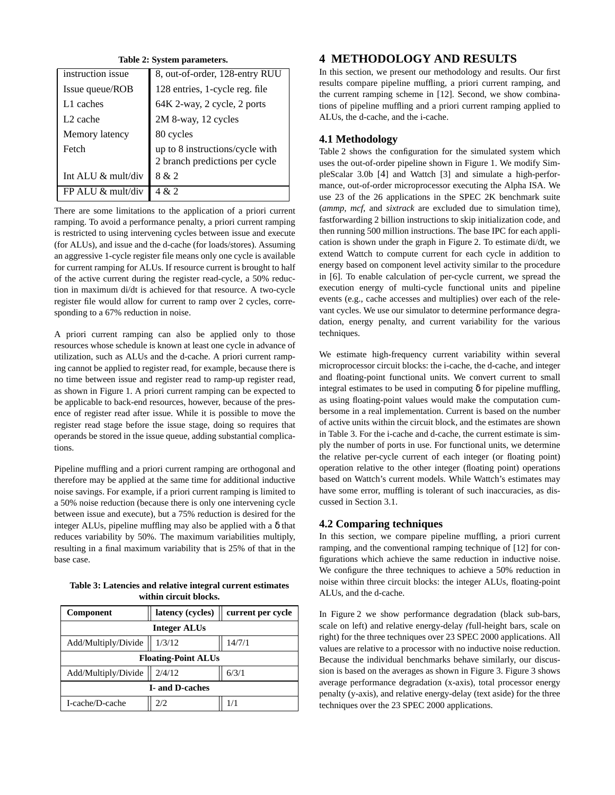**Table 2: System parameters.**

<span id="page-3-0"></span>

| instruction issue    | 8, out-of-order, 128-entry RUU  |  |
|----------------------|---------------------------------|--|
| Issue queue/ROB      | 128 entries, 1-cycle reg. file  |  |
| L1 caches            | 64K 2-way, 2 cycle, 2 ports     |  |
| L <sub>2</sub> cache | 2M 8-way, 12 cycles             |  |
| Memory latency       | 80 cycles                       |  |
| Fetch                | up to 8 instructions/cycle with |  |
|                      | 2 branch predictions per cycle  |  |
| Int ALU & mult/div   | 8 & 2                           |  |
| FP ALU & mult/div    | 4 & 2                           |  |

There are some limitations to the application of a priori current ramping. To avoid a performance penalty, a priori current ramping is restricted to using intervening cycles between issue and execute (for ALUs), and issue and the d-cache (for loads/stores). Assuming an aggressive 1-cycle register file means only one cycle is available for current ramping for ALUs. If resource current is brought to half of the active current during the register read-cycle, a 50% reduction in maximum di/dt is achieved for that resource. A two-cycle register file would allow for current to ramp over 2 cycles, corresponding to a 67% reduction in noise.

A priori current ramping can also be applied only to those resources whose schedule is known at least one cycle in advance of utilization, such as ALUs and the d-cache. A priori current ramping cannot be applied to register read, for example, because there is no time between issue and register read to ramp-up register read, as shown in [Figure 1.](#page-2-0) A priori current ramping can be expected to be applicable to back-end resources, however, because of the presence of register read after issue. While it is possible to move the register read stage before the issue stage, doing so requires that operands be stored in the issue queue, adding substantial complications.

Pipeline muffling and a priori current ramping are orthogonal and therefore may be applied at the same time for additional inductive noise savings. For example, if a priori current ramping is limited to a 50% noise reduction (because there is only one intervening cycle between issue and execute), but a 75% reduction is desired for the integer ALUs, pipeline muffling may also be applied with a  $\delta$  that reduces variability by 50%. The maximum variabilities multiply, resulting in a final maximum variability that is 25% of that in the base case.

<span id="page-3-1"></span>

| Table 3: Latencies and relative integral current estimates |
|------------------------------------------------------------|
| within circuit blocks.                                     |

| Component                  | latency (cycles) | current per cycle |  |  |  |  |
|----------------------------|------------------|-------------------|--|--|--|--|
| <b>Integer ALUs</b>        |                  |                   |  |  |  |  |
| Add/Multiply/Divide        | 1/3/12           | 14/7/1            |  |  |  |  |
| <b>Floating-Point ALUs</b> |                  |                   |  |  |  |  |
| Add/Multiply/Divide        | 2/4/12           | 6/3/1             |  |  |  |  |
| <b>I</b> -and D-caches     |                  |                   |  |  |  |  |
| I-cache/D-cache            | 2/2.             | 1/1               |  |  |  |  |

# **4 METHODOLOGY AND RESULTS**

In this section, we present our methodology and results. Our first results compare pipeline muffling, a priori current ramping, and the current ramping scheme in [12]. Second, we show combinations of pipeline muffling and a priori current ramping applied to ALUs, the d-cache, and the i-cache.

# **4.1 Methodology**

[Table 2](#page-3-0) shows the configuration for the simulated system which uses the out-of-order pipeline shown in [Figure 1.](#page-2-0) We modify SimpleScalar 3.0b [4] and Wattch [3] and simulate a high-performance, out-of-order microprocessor executing the Alpha ISA. We use 23 of the 26 applications in the SPEC 2K benchmark suite (*ammp, mcf,* and *sixtrack* are excluded due to simulation time), fastforwarding 2 billion instructions to skip initialization code, and then running 500 million instructions. The base IPC for each application is shown under the graph in [Figure 2.](#page-4-0) To estimate di/dt, we extend Wattch to compute current for each cycle in addition to energy based on component level activity similar to the procedure in [6]. To enable calculation of per-cycle current, we spread the execution energy of multi-cycle functional units and pipeline events (e.g., cache accesses and multiplies) over each of the relevant cycles. We use our simulator to determine performance degradation, energy penalty, and current variability for the various techniques.

We estimate high-frequency current variability within several microprocessor circuit blocks: the i-cache, the d-cache, and integer and floating-point functional units. We convert current to small integral estimates to be used in computing  $\delta$  for pipeline muffling, as using floating-point values would make the computation cumbersome in a real implementation. Current is based on the number of active units within the circuit block, and the estimates are shown in [Table 3.](#page-3-1) For the i-cache and d-cache, the current estimate is simply the number of ports in use. For functional units, we determine the relative per-cycle current of each integer (or floating point) operation relative to the other integer (floating point) operations based on Wattch's current models. While Wattch's estimates may have some error, muffling is tolerant of such inaccuracies, as discussed in [Section 3.1.](#page-2-1)

# **4.2 Comparing techniques**

In this section, we compare pipeline muffling, a priori current ramping, and the conventional ramping technique of [12] for configurations which achieve the same reduction in inductive noise. We configure the three techniques to achieve a 50% reduction in noise within three circuit blocks: the integer ALUs, floating-point ALUs, and the d-cache.

In [Figure 2](#page-4-0) we show performance degradation (black sub-bars, scale on left) and relative energy-delay *(*full-height bars, scale on right) for the three techniques over 23 SPEC 2000 applications. All values are relative to a processor with no inductive noise reduction. Because the individual benchmarks behave similarly, our discussion is based on the averages as shown in [Figure 3. Figure 3](#page-4-1) shows average performance degradation (x-axis), total processor energy penalty (y-axis), and relative energy-delay (text aside) for the three techniques over the 23 SPEC 2000 applications.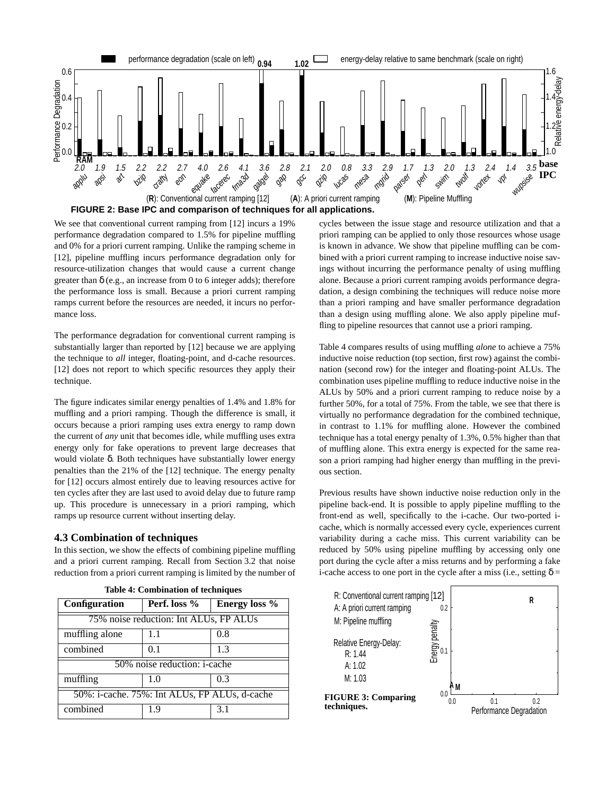

**FIGURE 2: Base IPC and comparison of techniques for all applications.**

<span id="page-4-0"></span>We see that conventional current ramping from [12] incurs a 19% performance degradation compared to 1.5% for pipeline muffling and 0% for a priori current ramping. Unlike the ramping scheme in [12], pipeline muffling incurs performance degradation only for resource-utilization changes that would cause a current change greater than  $\delta$  (e.g., an increase from 0 to 6 integer adds); therefore the performance loss is small. Because a priori current ramping ramps current before the resources are needed, it incurs no performance loss.

The performance degradation for conventional current ramping is substantially larger than reported by [12] because we are applying the technique to *all* integer, floating-point, and d-cache resources. [12] does not report to which specific resources they apply their technique.

The figure indicates similar energy penalties of 1.4% and 1.8% for muffling and a priori ramping. Though the difference is small, it occurs because a priori ramping uses extra energy to ramp down the current of *any* unit that becomes idle, while muffling uses extra energy only for fake operations to prevent large decreases that would violate δ. Both techniques have substantially lower energy penalties than the 21% of the [12] technique. The energy penalty for [12] occurs almost entirely due to leaving resources active for ten cycles after they are last used to avoid delay due to future ramp up. This procedure is unnecessary in a priori ramping, which ramps up resource current without inserting delay.

#### **4.3 Combination of techniques**

In this section, we show the effects of combining pipeline muffling and a priori current ramping. Recall from [Section 3.2](#page-2-2) that noise reduction from a priori current ramping is limited by the number of

<span id="page-4-2"></span>

| Configuration                                 | Perf. loss % | Energy loss % |  |  |  |
|-----------------------------------------------|--------------|---------------|--|--|--|
| 75% noise reduction: Int ALUs, FP ALUs        |              |               |  |  |  |
| muffling alone                                | 1.1          | 0.8           |  |  |  |
| combined                                      | 0.1          | 1.3           |  |  |  |
| 50% noise reduction: <i>i</i> -cache          |              |               |  |  |  |
| muffling                                      | 1.0          | 0.3           |  |  |  |
| 50%: i-cache. 75%: Int ALUs, FP ALUs, d-cache |              |               |  |  |  |
| combined                                      | 1.9          | 3.1           |  |  |  |

**Table 4: Combination of techniques**

cycles between the issue stage and resource utilization and that a priori ramping can be applied to only those resources whose usage is known in advance. We show that pipeline muffling can be combined with a priori current ramping to increase inductive noise savings without incurring the performance penalty of using muffling alone. Because a priori current ramping avoids performance degradation, a design combining the techniques will reduce noise more than a priori ramping and have smaller performance degradation than a design using muffling alone. We also apply pipeline muffling to pipeline resources that cannot use a priori ramping.

[Table 4](#page-4-2) compares results of using muffling *alone* to achieve a 75% inductive noise reduction (top section, first row) against the combination (second row) for the integer and floating-point ALUs. The combination uses pipeline muffling to reduce inductive noise in the ALUs by 50% and a priori current ramping to reduce noise by a further 50%, for a total of 75%. From the table, we see that there is virtually no performance degradation for the combined technique, in contrast to 1.1% for muffling alone. However the combined technique has a total energy penalty of 1.3%, 0.5% higher than that of muffling alone. This extra energy is expected for the same reason a priori ramping had higher energy than muffling in the previous section.

Previous results have shown inductive noise reduction only in the pipeline back-end. It is possible to apply pipeline muffling to the front-end as well, specifically to the i-cache. Our two-ported icache, which is normally accessed every cycle, experiences current variability during a cache miss. This current variability can be reduced by 50% using pipeline muffling by accessing only one port during the cycle after a miss returns and by performing a fake i-cache access to one port in the cycle after a miss (i.e., setting  $\delta =$ 

<span id="page-4-1"></span>